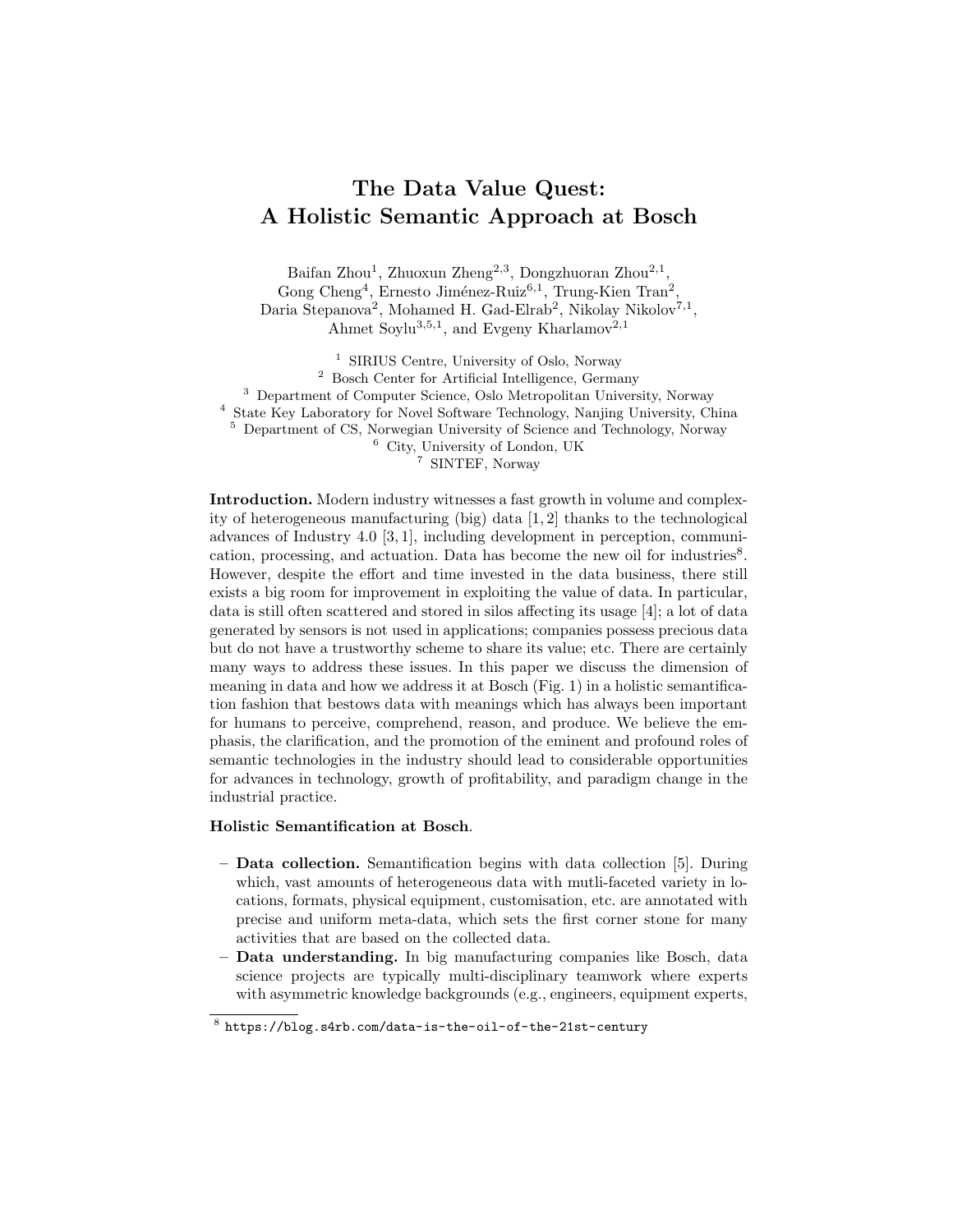## The Data Value Quest: A Holistic Semantic Approach at Bosch

Baifan Zhou<sup>1</sup>, Zhuoxun Zheng<sup>2,3</sup>, Dongzhuoran Zhou<sup>2,1</sup>, Gong Cheng<sup>4</sup>, Ernesto Jiménez-Ruiz<sup>6,1</sup>, Trung-Kien Tran<sup>2</sup>, Daria Stepanova<sup>2</sup>, Mohamed H. Gad-Elrab<sup>2</sup>, Nikolay Nikolov<sup>7,1</sup>, Ahmet Soylu<sup>3,5,1</sup>, and Evgeny Kharlamov<sup>2,1</sup>

<sup>1</sup> SIRIUS Centre, University of Oslo, Norway

 $^2\,$  Bosch Center for Artificial Intelligence, Germany Department of Computer Science, Oslo Metropolitan University, Norway State Key Laboratory for Novel Software Technology, Nanjing University, China Department of CS, Norwegian University of Science and Technology, Norway

<sup>6</sup> City, University of London, UK

<sup>7</sup> SINTEF, Norway

Introduction. Modern industry witnesses a fast growth in volume and complexity of heterogeneous manufacturing (big) data [1, 2] thanks to the technological advances of Industry 4.0 [3, 1], including development in perception, communication, processing, and actuation. Data has become the new oil for industries<sup>8</sup>. However, despite the effort and time invested in the data business, there still exists a big room for improvement in exploiting the value of data. In particular, data is still often scattered and stored in silos affecting its usage [4]; a lot of data generated by sensors is not used in applications; companies possess precious data but do not have a trustworthy scheme to share its value; etc. There are certainly many ways to address these issues. In this paper we discuss the dimension of meaning in data and how we address it at Bosch (Fig. 1) in a holistic semantification fashion that bestows data with meanings which has always been important for humans to perceive, comprehend, reason, and produce. We believe the emphasis, the clarification, and the promotion of the eminent and profound roles of semantic technologies in the industry should lead to considerable opportunities for advances in technology, growth of profitability, and paradigm change in the industrial practice.

## Holistic Semantification at Bosch.

- Data collection. Semantification begins with data collection [5]. During which, vast amounts of heterogeneous data with mutli-faceted variety in locations, formats, physical equipment, customisation, etc. are annotated with precise and uniform meta-data, which sets the first corner stone for many activities that are based on the collected data.
- Data understanding. In big manufacturing companies like Bosch, data science projects are typically multi-disciplinary teamwork where experts with asymmetric knowledge backgrounds (e.g., engineers, equipment experts,

 $^8$  https://blog.s4rb.com/data-is-the-oil-of-the-21st-century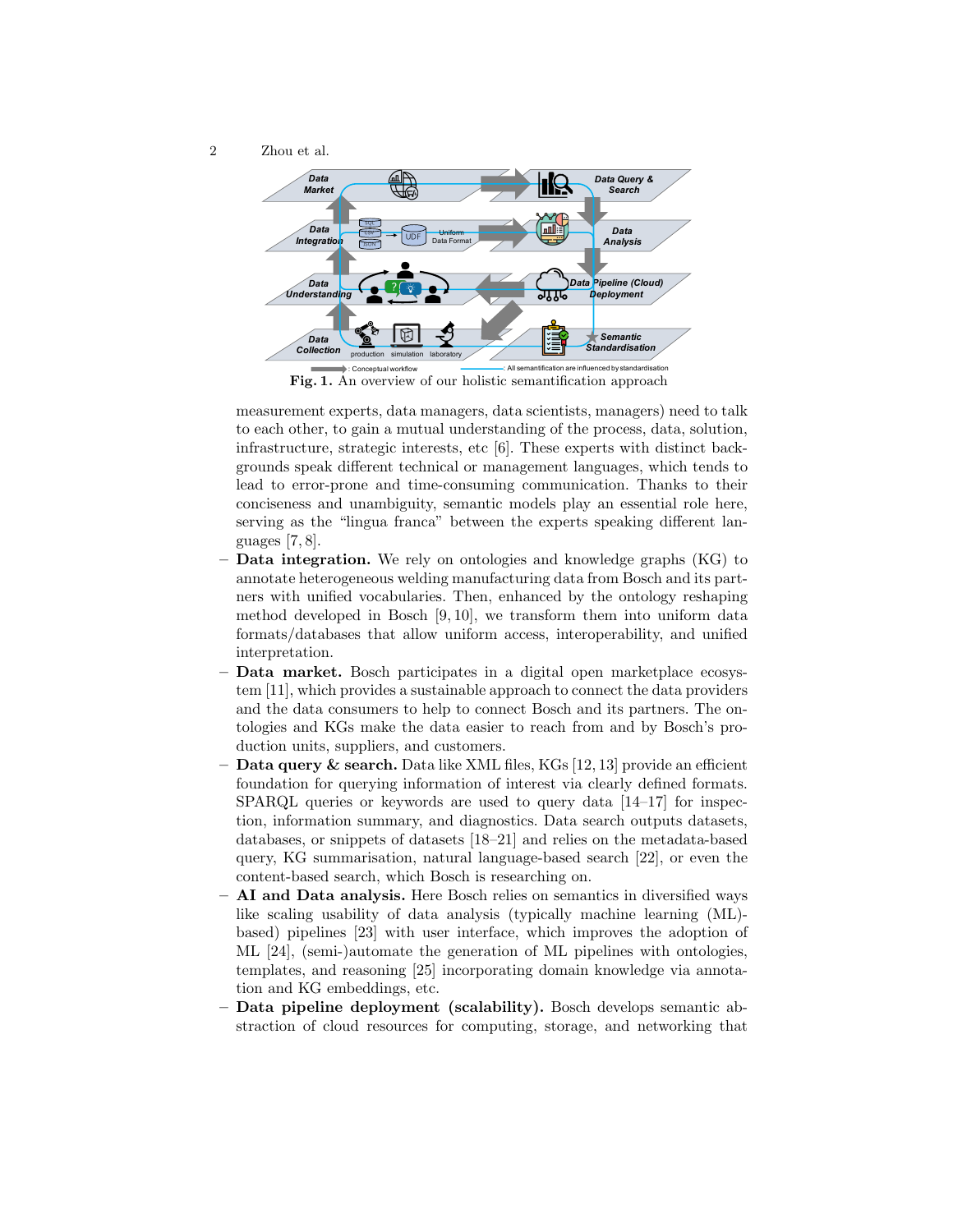2 Zhou et al.



Fig. 1. An overview of our holistic semantification are influenced by standardisation<br>Fig. 1. An overview of our holistic semantification approach

measurement experts, data managers, data scientists, managers) need to talk to each other, to gain a mutual understanding of the process, data, solution, infrastructure, strategic interests, etc [6]. These experts with distinct backgrounds speak different technical or management languages, which tends to lead to error-prone and time-consuming communication. Thanks to their conciseness and unambiguity, semantic models play an essential role here, serving as the "lingua franca" between the experts speaking different languages [7, 8].

- Data integration. We rely on ontologies and knowledge graphs (KG) to annotate heterogeneous welding manufacturing data from Bosch and its partners with unified vocabularies. Then, enhanced by the ontology reshaping method developed in Bosch [9, 10], we transform them into uniform data formats/databases that allow uniform access, interoperability, and unified interpretation.
- Data market. Bosch participates in a digital open marketplace ecosystem [11], which provides a sustainable approach to connect the data providers and the data consumers to help to connect Bosch and its partners. The ontologies and KGs make the data easier to reach from and by Bosch's production units, suppliers, and customers.
- $-$  **Data query & search.** Data like XML files, KGs [12, 13] provide an efficient foundation for querying information of interest via clearly defined formats. SPARQL queries or keywords are used to query data [14–17] for inspection, information summary, and diagnostics. Data search outputs datasets, databases, or snippets of datasets [18–21] and relies on the metadata-based query, KG summarisation, natural language-based search [22], or even the content-based search, which Bosch is researching on.
- AI and Data analysis. Here Bosch relies on semantics in diversified ways like scaling usability of data analysis (typically machine learning (ML) based) pipelines [23] with user interface, which improves the adoption of ML [24], (semi-)automate the generation of ML pipelines with ontologies, templates, and reasoning [25] incorporating domain knowledge via annotation and KG embeddings, etc.
- Data pipeline deployment (scalability). Bosch develops semantic abstraction of cloud resources for computing, storage, and networking that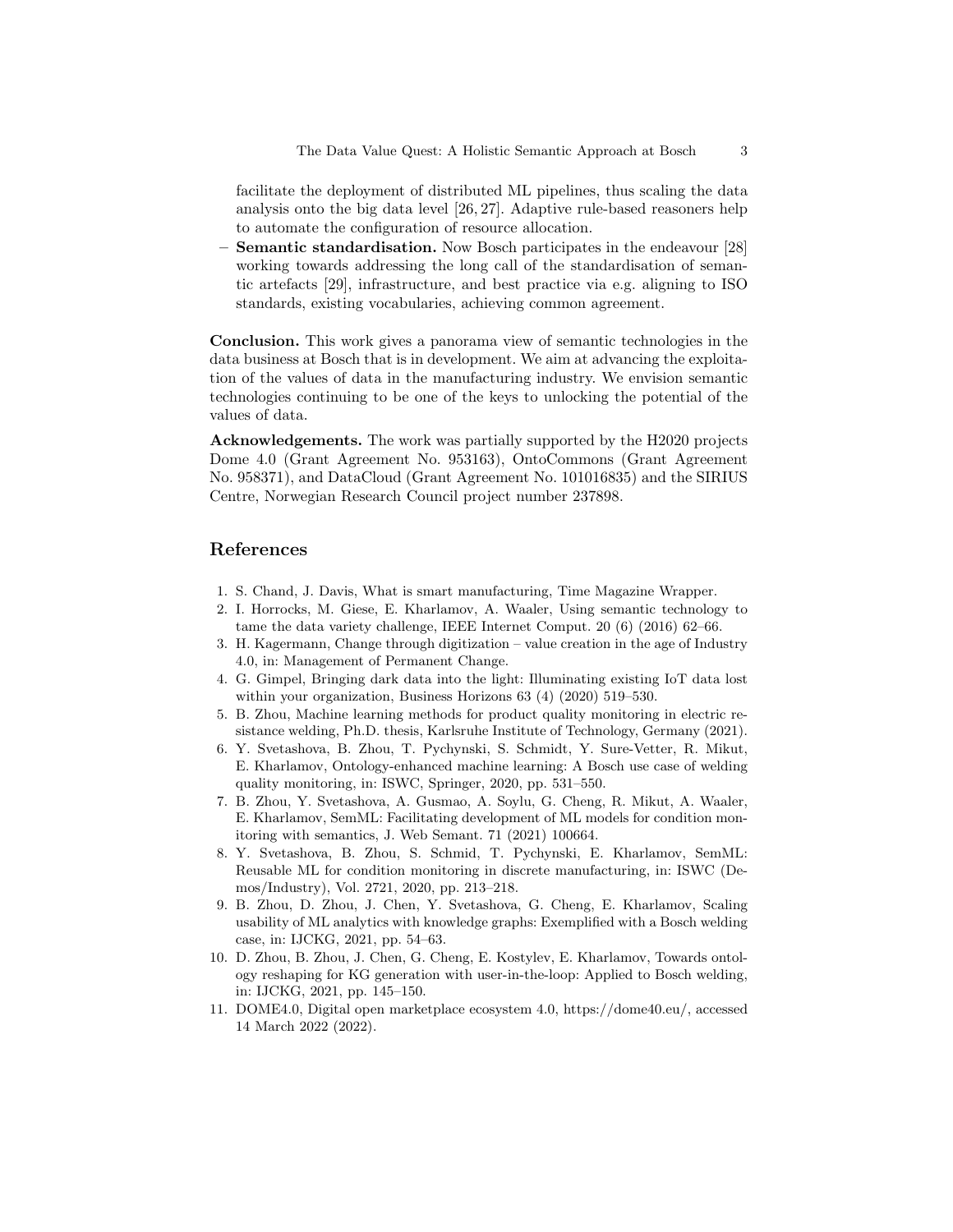facilitate the deployment of distributed ML pipelines, thus scaling the data analysis onto the big data level [26, 27]. Adaptive rule-based reasoners help to automate the configuration of resource allocation.

Semantic standardisation. Now Bosch participates in the endeavour [28] working towards addressing the long call of the standardisation of semantic artefacts [29], infrastructure, and best practice via e.g. aligning to ISO standards, existing vocabularies, achieving common agreement.

Conclusion. This work gives a panorama view of semantic technologies in the data business at Bosch that is in development. We aim at advancing the exploitation of the values of data in the manufacturing industry. We envision semantic technologies continuing to be one of the keys to unlocking the potential of the values of data.

Acknowledgements. The work was partially supported by the H2020 projects Dome 4.0 (Grant Agreement No. 953163), OntoCommons (Grant Agreement No. 958371), and DataCloud (Grant Agreement No. 101016835) and the SIRIUS Centre, Norwegian Research Council project number 237898.

## References

- 1. S. Chand, J. Davis, What is smart manufacturing, Time Magazine Wrapper.
- 2. I. Horrocks, M. Giese, E. Kharlamov, A. Waaler, Using semantic technology to tame the data variety challenge, IEEE Internet Comput. 20 (6) (2016) 62–66.
- 3. H. Kagermann, Change through digitization value creation in the age of Industry 4.0, in: Management of Permanent Change.
- 4. G. Gimpel, Bringing dark data into the light: Illuminating existing IoT data lost within your organization, Business Horizons 63 (4) (2020) 519–530.
- 5. B. Zhou, Machine learning methods for product quality monitoring in electric resistance welding, Ph.D. thesis, Karlsruhe Institute of Technology, Germany (2021).
- 6. Y. Svetashova, B. Zhou, T. Pychynski, S. Schmidt, Y. Sure-Vetter, R. Mikut, E. Kharlamov, Ontology-enhanced machine learning: A Bosch use case of welding quality monitoring, in: ISWC, Springer, 2020, pp. 531–550.
- 7. B. Zhou, Y. Svetashova, A. Gusmao, A. Soylu, G. Cheng, R. Mikut, A. Waaler, E. Kharlamov, SemML: Facilitating development of ML models for condition monitoring with semantics, J. Web Semant. 71 (2021) 100664.
- 8. Y. Svetashova, B. Zhou, S. Schmid, T. Pychynski, E. Kharlamov, SemML: Reusable ML for condition monitoring in discrete manufacturing, in: ISWC (Demos/Industry), Vol. 2721, 2020, pp. 213–218.
- 9. B. Zhou, D. Zhou, J. Chen, Y. Svetashova, G. Cheng, E. Kharlamov, Scaling usability of ML analytics with knowledge graphs: Exemplified with a Bosch welding case, in: IJCKG, 2021, pp. 54–63.
- 10. D. Zhou, B. Zhou, J. Chen, G. Cheng, E. Kostylev, E. Kharlamov, Towards ontology reshaping for KG generation with user-in-the-loop: Applied to Bosch welding, in: IJCKG, 2021, pp. 145–150.
- 11. DOME4.0, Digital open marketplace ecosystem 4.0, https://dome40.eu/, accessed 14 March 2022 (2022).